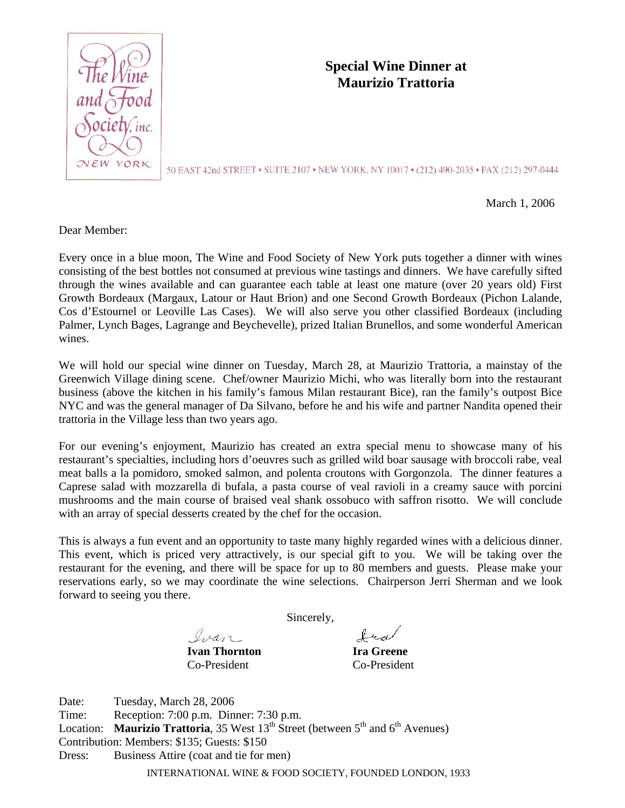

## **Special Wine Dinner at Maurizio Trattoria**

50 EAST 42nd STREET • SUITE 2107 • NEW YORK, NY 10017 • (212) 490-2035 • FAX (212) 297-0444

March 1, 2006

Dear Member:

Every once in a blue moon, The Wine and Food Society of New York puts together a dinner with wines consisting of the best bottles not consumed at previous wine tastings and dinners. We have carefully sifted through the wines available and can guarantee each table at least one mature (over 20 years old) First Growth Bordeaux (Margaux, Latour or Haut Brion) and one Second Growth Bordeaux (Pichon Lalande, Cos d'Estournel or Leoville Las Cases). We will also serve you other classified Bordeaux (including Palmer, Lynch Bages, Lagrange and Beychevelle), prized Italian Brunellos, and some wonderful American wines.

We will hold our special wine dinner on Tuesday, March 28, at Maurizio Trattoria, a mainstay of the Greenwich Village dining scene. Chef/owner Maurizio Michi, who was literally born into the restaurant business (above the kitchen in his family's famous Milan restaurant Bice), ran the family's outpost Bice NYC and was the general manager of Da Silvano, before he and his wife and partner Nandita opened their trattoria in the Village less than two years ago.

For our evening's enjoyment, Maurizio has created an extra special menu to showcase many of his restaurant's specialties, including hors d'oeuvres such as grilled wild boar sausage with broccoli rabe, veal meat balls a la pomidoro, smoked salmon, and polenta croutons with Gorgonzola. The dinner features a Caprese salad with mozzarella di bufala, a pasta course of veal ravioli in a creamy sauce with porcini mushrooms and the main course of braised veal shank ossobuco with saffron risotto. We will conclude with an array of special desserts created by the chef for the occasion.

This is always a fun event and an opportunity to taste many highly regarded wines with a delicious dinner. This event, which is priced very attractively, is our special gift to you. We will be taking over the restaurant for the evening, and there will be space for up to 80 members and guests. Please make your reservations early, so we may coordinate the wine selections. Chairperson Jerri Sherman and we look forward to seeing you there.

Sincerely,

Ivan

**Ivan Thornton Ira Greene** Co-President Co-President

fra

INTERNATIONAL WINE & FOOD SOCIETY, FOUNDED LONDON, 1933 Date: Tuesday, March 28, 2006 Time: Reception: 7:00 p.m. Dinner: 7:30 p.m. Location: **Maurizio Trattoria**, 35 West 13<sup>th</sup> Street (between 5<sup>th</sup> and 6<sup>th</sup> Avenues) Contribution: Members: \$135; Guests: \$150 Dress: Business Attire (coat and tie for men)